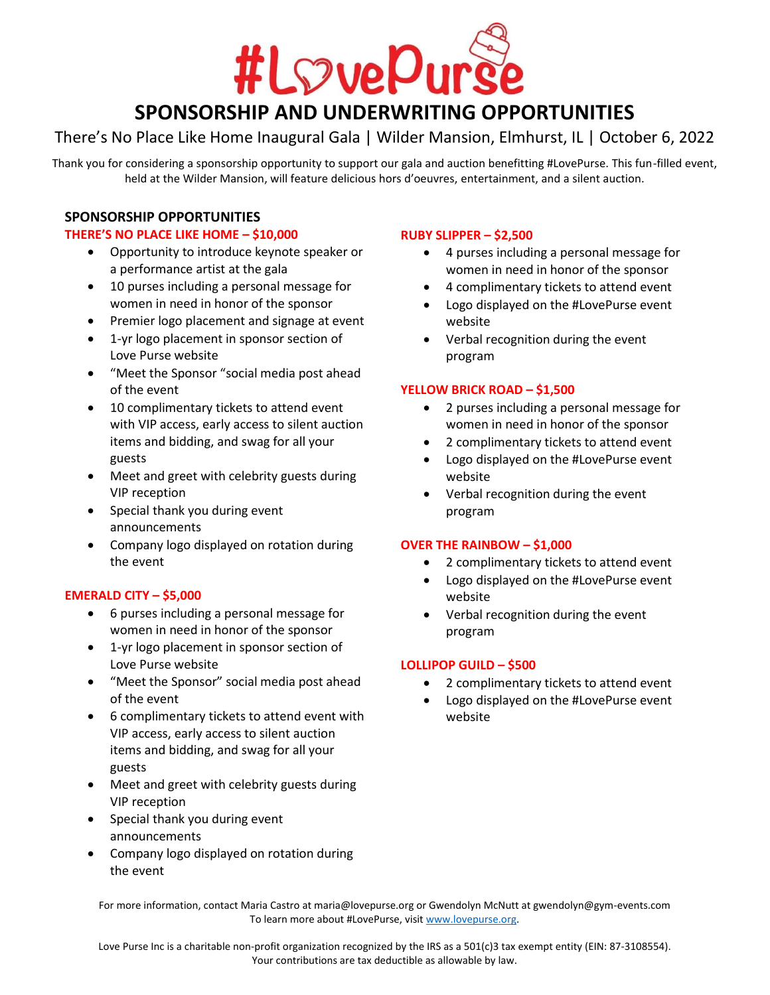

# **SPONSORSHIP AND UNDERWRITING OPPORTUNITIES**

### There's No Place Like Home Inaugural Gala | Wilder Mansion, Elmhurst, IL | October 6, 2022

Thank you for considering a sponsorship opportunity to support our gala and auction benefitting #LovePurse. This fun-filled event, held at the Wilder Mansion, will feature delicious hors d'oeuvres, entertainment, and a silent auction.

### **SPONSORSHIP OPPORTUNITIES**

### **THERE'S NO PLACE LIKE HOME – \$10,000**

- Opportunity to introduce keynote speaker or a performance artist at the gala
- 10 purses including a personal message for women in need in honor of the sponsor
- Premier logo placement and signage at event
- 1-yr logo placement in sponsor section of Love Purse website
- "Meet the Sponsor "social media post ahead of the event
- 10 complimentary tickets to attend event with VIP access, early access to silent auction items and bidding, and swag for all your guests
- Meet and greet with celebrity guests during VIP reception
- Special thank you during event announcements
- Company logo displayed on rotation during the event

### **EMERALD CITY – \$5,000**

- 6 purses including a personal message for women in need in honor of the sponsor
- 1-yr logo placement in sponsor section of Love Purse website
- "Meet the Sponsor" social media post ahead of the event
- 6 complimentary tickets to attend event with VIP access, early access to silent auction items and bidding, and swag for all your guests
- Meet and greet with celebrity guests during VIP reception
- Special thank you during event announcements
- Company logo displayed on rotation during the event

### **RUBY SLIPPER – \$2,500**

- 4 purses including a personal message for women in need in honor of the sponsor
- 4 complimentary tickets to attend event
- Logo displayed on the #LovePurse event website
- Verbal recognition during the event program

### **YELLOW BRICK ROAD – \$1,500**

- 2 purses including a personal message for women in need in honor of the sponsor
- 2 complimentary tickets to attend event
- Logo displayed on the #LovePurse event website
- Verbal recognition during the event program

### **OVER THE RAINBOW – \$1,000**

- 2 complimentary tickets to attend event
- Logo displayed on the #LovePurse event website
- Verbal recognition during the event program

### **LOLLIPOP GUILD – \$500**

- 2 complimentary tickets to attend event
- Logo displayed on the #LovePurse event website

For more information, contact Maria Castro at maria@lovepurse.org or Gwendolyn McNutt at gwendolyn@gym-events.com To learn more about #LovePurse, visit [www.lovepurse.org.](http://www.lovepurse.org/)

Love Purse Inc is a charitable non-profit organization recognized by the IRS as a 501(c)3 tax exempt entity (EIN: 87-3108554). Your contributions are tax deductible as allowable by law.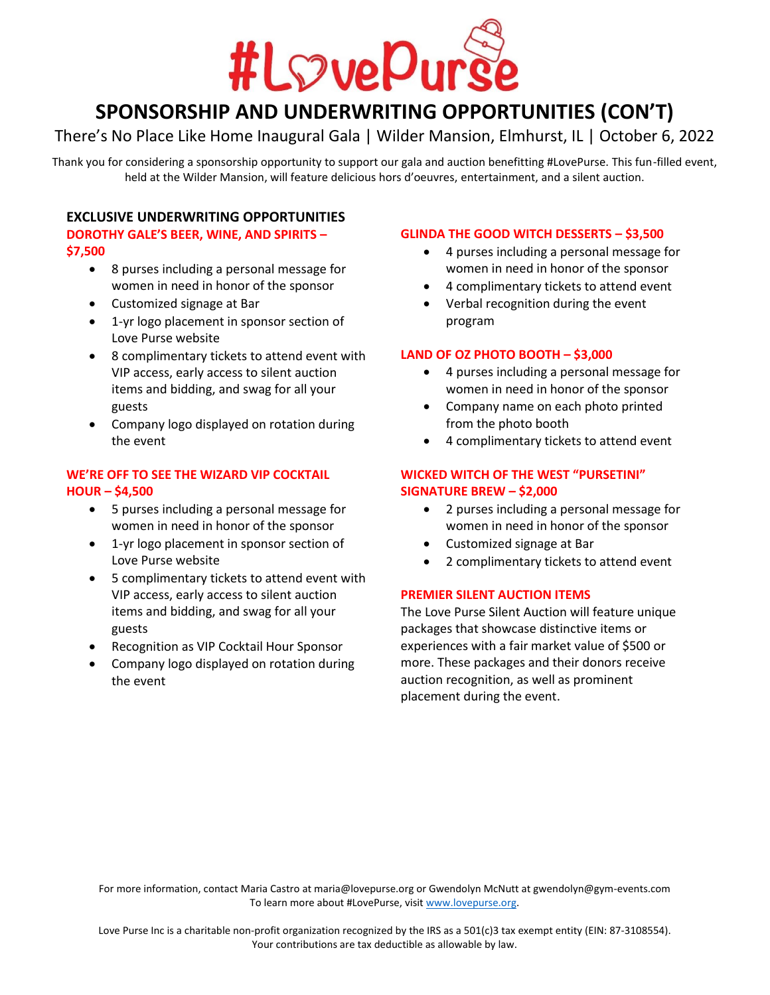

## **SPONSORSHIP AND UNDERWRITING OPPORTUNITIES (CON'T)**

### There's No Place Like Home Inaugural Gala | Wilder Mansion, Elmhurst, IL | October 6, 2022

Thank you for considering a sponsorship opportunity to support our gala and auction benefitting #LovePurse. This fun-filled event, held at the Wilder Mansion, will feature delicious hors d'oeuvres, entertainment, and a silent auction.

### **EXCLUSIVE UNDERWRITING OPPORTUNITIES**

### **DOROTHY GALE'S BEER, WINE, AND SPIRITS – \$7,500**

- 8 purses including a personal message for women in need in honor of the sponsor
- Customized signage at Bar
- 1-yr logo placement in sponsor section of Love Purse website
- 8 complimentary tickets to attend event with VIP access, early access to silent auction items and bidding, and swag for all your guests
- Company logo displayed on rotation during the event

### **WE'RE OFF TO SEE THE WIZARD VIP COCKTAIL HOUR – \$4,500**

- 5 purses including a personal message for women in need in honor of the sponsor
- 1-yr logo placement in sponsor section of Love Purse website
- 5 complimentary tickets to attend event with VIP access, early access to silent auction items and bidding, and swag for all your guests
- Recognition as VIP Cocktail Hour Sponsor
- Company logo displayed on rotation during the event

### **GLINDA THE GOOD WITCH DESSERTS – \$3,500**

- 4 purses including a personal message for women in need in honor of the sponsor
- 4 complimentary tickets to attend event
- Verbal recognition during the event program

### **LAND OF OZ PHOTO BOOTH – \$3,000**

- 4 purses including a personal message for women in need in honor of the sponsor
- Company name on each photo printed from the photo booth
- 4 complimentary tickets to attend event

### **WICKED WITCH OF THE WEST "PURSETINI" SIGNATURE BREW – \$2,000**

- 2 purses including a personal message for women in need in honor of the sponsor
- Customized signage at Bar
- 2 complimentary tickets to attend event

### **PREMIER SILENT AUCTION ITEMS**

The Love Purse Silent Auction will feature unique packages that showcase distinctive items or experiences with a fair market value of \$500 or more. These packages and their donors receive auction recognition, as well as prominent placement during the event.

For more information, contact Maria Castro at maria@lovepurse.org or Gwendolyn McNutt at gwendolyn@gym-events.com To learn more about #LovePurse, visit [www.lovepurse.org.](http://www.lovepurse.org/)

Love Purse Inc is a charitable non-profit organization recognized by the IRS as a 501(c)3 tax exempt entity (EIN: 87-3108554). Your contributions are tax deductible as allowable by law.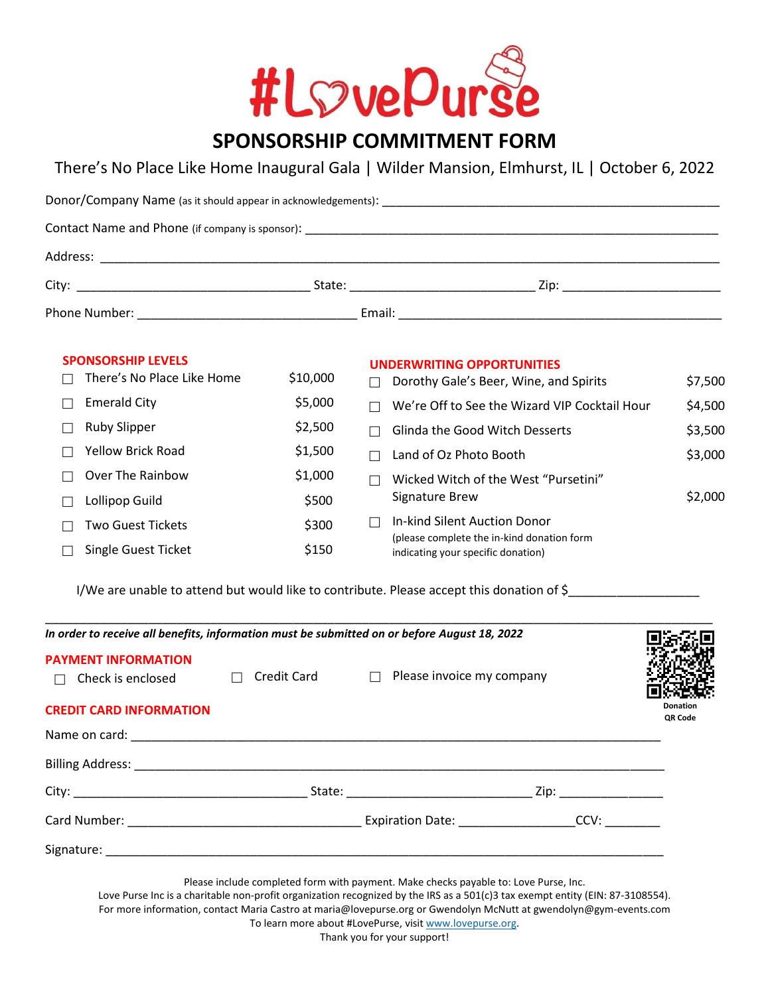

### There's No Place Like Home Inaugural Gala | Wilder Mansion, Elmhurst, IL | October 6, 2022

| <b>SPONSORSHIP LEVELS</b><br>There's No Place Like Home | \$10,000 | <b>UNDERWRITING OPPORTUNITIES</b><br>$\Box$ Dorothy Gale's Beer, Wine, and Spirits | \$7,500 |  |  |  |  |  |
|---------------------------------------------------------|----------|------------------------------------------------------------------------------------|---------|--|--|--|--|--|
| <b>Emerald City</b>                                     | \$5,000  | We're Off to See the Wizard VIP Cocktail Hour                                      | \$4,500 |  |  |  |  |  |
| <b>Ruby Slipper</b>                                     | \$2,500  | Glinda the Good Witch Desserts                                                     | \$3,500 |  |  |  |  |  |
| <b>Yellow Brick Road</b>                                | \$1,500  | Land of Oz Photo Booth                                                             | \$3,000 |  |  |  |  |  |
| Over The Rainbow                                        | \$1,000  | Wicked Witch of the West "Pursetini"<br>$\Box$                                     |         |  |  |  |  |  |
| Lollipop Guild                                          | \$500    | Signature Brew                                                                     | \$2,000 |  |  |  |  |  |
| <b>Two Guest Tickets</b>                                | \$300    | In-kind Silent Auction Donor<br>$\Box$                                             |         |  |  |  |  |  |
| Single Guest Ticket                                     | \$150    | (please complete the in-kind donation form<br>indicating your specific donation)   |         |  |  |  |  |  |

I/We are unable to attend but would like to contribute. Please accept this donation of \$\_\_\_\_\_\_\_\_\_\_\_\_\_\_\_\_\_\_\_\_\_\_

| <b>PAYMENT INFORMATION</b><br>$\Box$ Check is enclosed $\Box$ Credit Card $\Box$ Please invoice my company |  |  |
|------------------------------------------------------------------------------------------------------------|--|--|
| <b>CREDIT CARD INFORMATION</b>                                                                             |  |  |
|                                                                                                            |  |  |
|                                                                                                            |  |  |
|                                                                                                            |  |  |
|                                                                                                            |  |  |
|                                                                                                            |  |  |

To learn more about #LovePurse, visit [www.lovepurse.org.](http://www.lovepurse.org/) Thank you for your support!